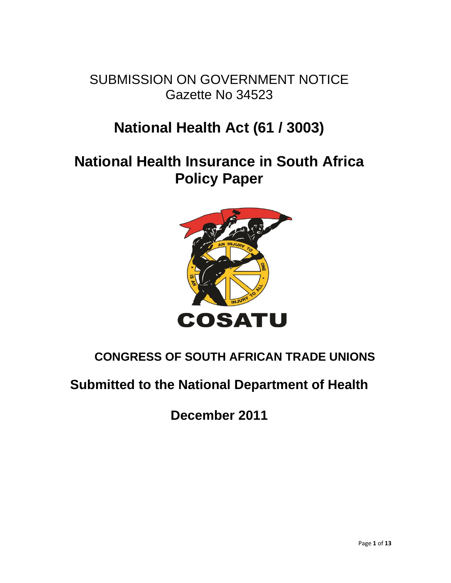SUBMISSION ON GOVERNMENT NOTICE Gazette No 34523

# **National Health Act (61 / 3003)**

# **National Health Insurance in South Africa Policy Paper**



# **CONGRESS OF SOUTH AFRICAN TRADE UNIONS**

# **Submitted to the National Department of Health**

**December 2011**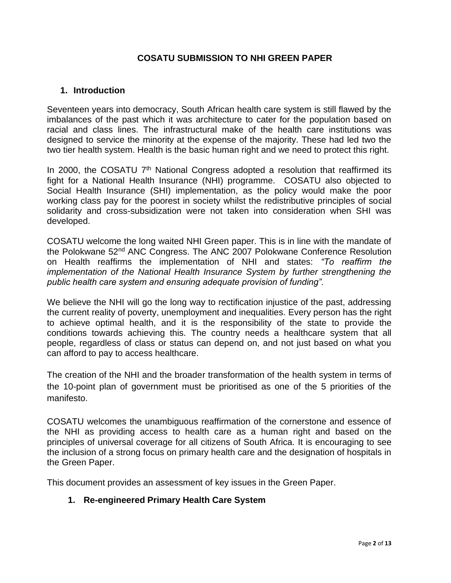#### **COSATU SUBMISSION TO NHI GREEN PAPER**

#### **1. Introduction**

Seventeen years into democracy, South African health care system is still flawed by the imbalances of the past which it was architecture to cater for the population based on racial and class lines. The infrastructural make of the health care institutions was designed to service the minority at the expense of the majority. These had led two the two tier health system. Health is the basic human right and we need to protect this right.

In 2000, the COSATU 7<sup>th</sup> National Congress adopted a resolution that reaffirmed its fight for a National Health Insurance (NHI) programme. COSATU also objected to Social Health Insurance (SHI) implementation, as the policy would make the poor working class pay for the poorest in society whilst the redistributive principles of social solidarity and cross-subsidization were not taken into consideration when SHI was developed.

COSATU welcome the long waited NHI Green paper. This is in line with the mandate of the Polokwane 52nd ANC Congress. The ANC 2007 Polokwane Conference Resolution on Health reaffirms the implementation of NHI and states: *"To reaffirm the implementation of the National Health Insurance System by further strengthening the public health care system and ensuring adequate provision of funding".*

We believe the NHI will go the long way to rectification injustice of the past, addressing the current reality of poverty, unemployment and inequalities. Every person has the right to achieve optimal health, and it is the responsibility of the state to provide the conditions towards achieving this. The country needs a healthcare system that all people, regardless of class or status can depend on, and not just based on what you can afford to pay to access healthcare.

The creation of the NHI and the broader transformation of the health system in terms of the 10-point plan of government must be prioritised as one of the 5 priorities of the manifesto.

COSATU welcomes the unambiguous reaffirmation of the cornerstone and essence of the NHI as providing access to health care as a human right and based on the principles of universal coverage for all citizens of South Africa. It is encouraging to see the inclusion of a strong focus on primary health care and the designation of hospitals in the Green Paper.

This document provides an assessment of key issues in the Green Paper.

#### **1. Re-engineered Primary Health Care System**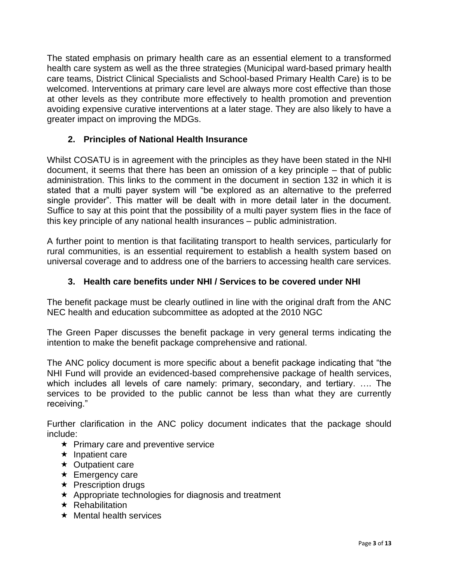The stated emphasis on primary health care as an essential element to a transformed health care system as well as the three strategies (Municipal ward-based primary health care teams, District Clinical Specialists and School-based Primary Health Care) is to be welcomed. Interventions at primary care level are always more cost effective than those at other levels as they contribute more effectively to health promotion and prevention avoiding expensive curative interventions at a later stage. They are also likely to have a greater impact on improving the MDGs.

# **2. Principles of National Health Insurance**

Whilst COSATU is in agreement with the principles as they have been stated in the NHI document, it seems that there has been an omission of a key principle – that of public administration. This links to the comment in the document in section 132 in which it is stated that a multi payer system will "be explored as an alternative to the preferred single provider". This matter will be dealt with in more detail later in the document. Suffice to say at this point that the possibility of a multi payer system flies in the face of this key principle of any national health insurances – public administration.

A further point to mention is that facilitating transport to health services, particularly for rural communities, is an essential requirement to establish a health system based on universal coverage and to address one of the barriers to accessing health care services.

# **3. Health care benefits under NHI / Services to be covered under NHI**

The benefit package must be clearly outlined in line with the original draft from the ANC NEC health and education subcommittee as adopted at the 2010 NGC

The Green Paper discusses the benefit package in very general terms indicating the intention to make the benefit package comprehensive and rational.

The ANC policy document is more specific about a benefit package indicating that "the NHI Fund will provide an evidenced-based comprehensive package of health services, which includes all levels of care namely: primary, secondary, and tertiary. …. The services to be provided to the public cannot be less than what they are currently receiving."

Further clarification in the ANC policy document indicates that the package should include:

- $\star$  Primary care and preventive service
- $\star$  Inpatient care
- $\star$  Outpatient care
- $\star$  Emergency care
- $\star$  Prescription drugs
- $\star$  Appropriate technologies for diagnosis and treatment
- $\star$  Rehabilitation
- $\star$  Mental health services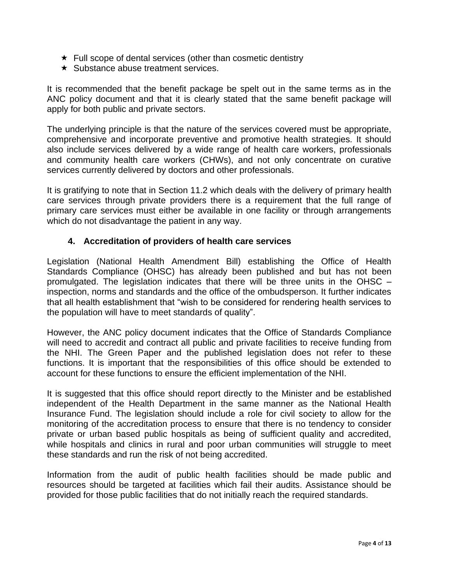- $\star$  Full scope of dental services (other than cosmetic dentistry
- $\star$  Substance abuse treatment services.

It is recommended that the benefit package be spelt out in the same terms as in the ANC policy document and that it is clearly stated that the same benefit package will apply for both public and private sectors.

The underlying principle is that the nature of the services covered must be appropriate, comprehensive and incorporate preventive and promotive health strategies. It should also include services delivered by a wide range of health care workers, professionals and community health care workers (CHWs), and not only concentrate on curative services currently delivered by doctors and other professionals.

It is gratifying to note that in Section 11.2 which deals with the delivery of primary health care services through private providers there is a requirement that the full range of primary care services must either be available in one facility or through arrangements which do not disadvantage the patient in any way.

#### **4. Accreditation of providers of health care services**

Legislation (National Health Amendment Bill) establishing the Office of Health Standards Compliance (OHSC) has already been published and but has not been promulgated. The legislation indicates that there will be three units in the OHSC – inspection, norms and standards and the office of the ombudsperson. It further indicates that all health establishment that "wish to be considered for rendering health services to the population will have to meet standards of quality".

However, the ANC policy document indicates that the Office of Standards Compliance will need to accredit and contract all public and private facilities to receive funding from the NHI. The Green Paper and the published legislation does not refer to these functions. It is important that the responsibilities of this office should be extended to account for these functions to ensure the efficient implementation of the NHI.

It is suggested that this office should report directly to the Minister and be established independent of the Health Department in the same manner as the National Health Insurance Fund. The legislation should include a role for civil society to allow for the monitoring of the accreditation process to ensure that there is no tendency to consider private or urban based public hospitals as being of sufficient quality and accredited, while hospitals and clinics in rural and poor urban communities will struggle to meet these standards and run the risk of not being accredited.

Information from the audit of public health facilities should be made public and resources should be targeted at facilities which fail their audits. Assistance should be provided for those public facilities that do not initially reach the required standards.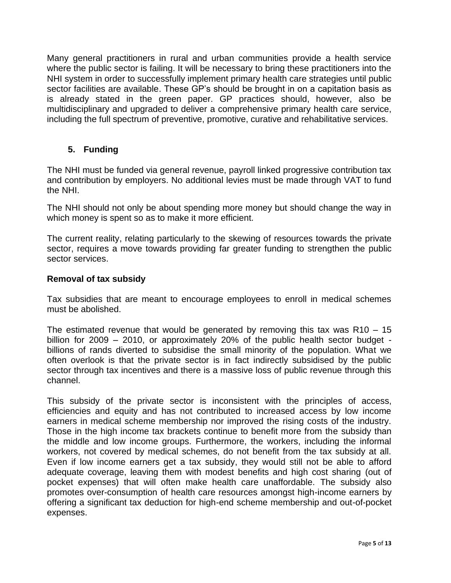Many general practitioners in rural and urban communities provide a health service where the public sector is failing. It will be necessary to bring these practitioners into the NHI system in order to successfully implement primary health care strategies until public sector facilities are available. These GP's should be brought in on a capitation basis as is already stated in the green paper. GP practices should, however, also be multidisciplinary and upgraded to deliver a comprehensive primary health care service, including the full spectrum of preventive, promotive, curative and rehabilitative services.

## **5. Funding**

The NHI must be funded via general revenue, payroll linked progressive contribution tax and contribution by employers. No additional levies must be made through VAT to fund the NHI.

The NHI should not only be about spending more money but should change the way in which money is spent so as to make it more efficient.

The current reality, relating particularly to the skewing of resources towards the private sector, requires a move towards providing far greater funding to strengthen the public sector services.

#### **Removal of tax subsidy**

Tax subsidies that are meant to encourage employees to enroll in medical schemes must be abolished.

The estimated revenue that would be generated by removing this tax was  $R10 - 15$ billion for 2009 – 2010, or approximately 20% of the public health sector budget billions of rands diverted to subsidise the small minority of the population. What we often overlook is that the private sector is in fact indirectly subsidised by the public sector through tax incentives and there is a massive loss of public revenue through this channel.

This subsidy of the private sector is inconsistent with the principles of access, efficiencies and equity and has not contributed to increased access by low income earners in medical scheme membership nor improved the rising costs of the industry. Those in the high income tax brackets continue to benefit more from the subsidy than the middle and low income groups. Furthermore, the workers, including the informal workers, not covered by medical schemes, do not benefit from the tax subsidy at all. Even if low income earners get a tax subsidy, they would still not be able to afford adequate coverage, leaving them with modest benefits and high cost sharing (out of pocket expenses) that will often make health care unaffordable. The subsidy also promotes over-consumption of health care resources amongst high-income earners by offering a significant tax deduction for high-end scheme membership and out-of-pocket expenses.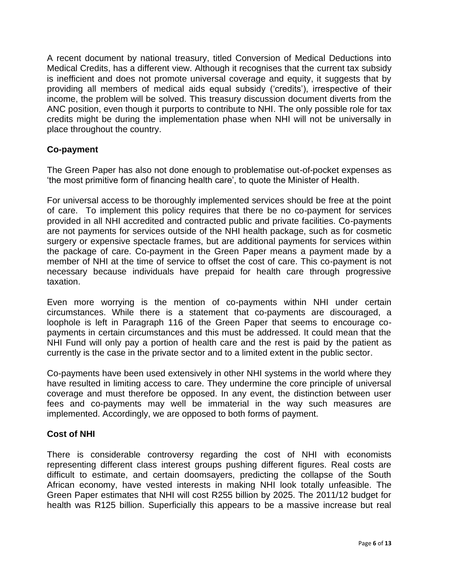A recent document by national treasury, titled Conversion of Medical Deductions into Medical Credits, has a different view. Although it recognises that the current tax subsidy is inefficient and does not promote universal coverage and equity, it suggests that by providing all members of medical aids equal subsidy ('credits'), irrespective of their income, the problem will be solved. This treasury discussion document diverts from the ANC position, even though it purports to contribute to NHI. The only possible role for tax credits might be during the implementation phase when NHI will not be universally in place throughout the country.

#### **Co-payment**

The Green Paper has also not done enough to problematise out-of-pocket expenses as 'the most primitive form of financing health care', to quote the Minister of Health.

For universal access to be thoroughly implemented services should be free at the point of care. To implement this policy requires that there be no co-payment for services provided in all NHI accredited and contracted public and private facilities. Co-payments are not payments for services outside of the NHI health package, such as for cosmetic surgery or expensive spectacle frames, but are additional payments for services within the package of care. Co-payment in the Green Paper means a payment made by a member of NHI at the time of service to offset the cost of care. This co-payment is not necessary because individuals have prepaid for health care through progressive taxation.

Even more worrying is the mention of co-payments within NHI under certain circumstances. While there is a statement that co-payments are discouraged, a loophole is left in Paragraph 116 of the Green Paper that seems to encourage copayments in certain circumstances and this must be addressed. It could mean that the NHI Fund will only pay a portion of health care and the rest is paid by the patient as currently is the case in the private sector and to a limited extent in the public sector.

Co-payments have been used extensively in other NHI systems in the world where they have resulted in limiting access to care. They undermine the core principle of universal coverage and must therefore be opposed. In any event, the distinction between user fees and co-payments may well be immaterial in the way such measures are implemented. Accordingly, we are opposed to both forms of payment.

#### **Cost of NHI**

There is considerable controversy regarding the cost of NHI with economists representing different class interest groups pushing different figures. Real costs are difficult to estimate, and certain doomsayers, predicting the collapse of the South African economy, have vested interests in making NHI look totally unfeasible. The Green Paper estimates that NHI will cost R255 billion by 2025. The 2011/12 budget for health was R125 billion. Superficially this appears to be a massive increase but real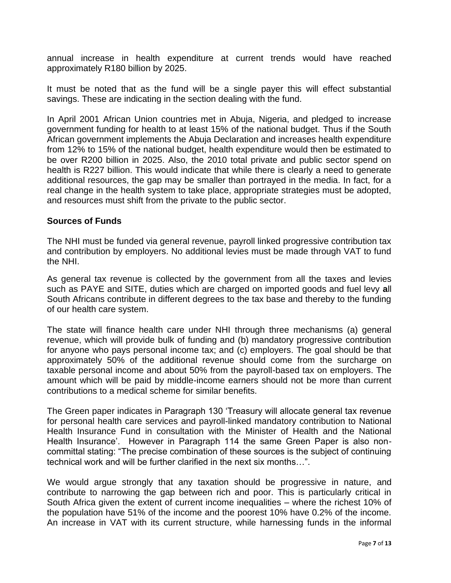annual increase in health expenditure at current trends would have reached approximately R180 billion by 2025.

It must be noted that as the fund will be a single payer this will effect substantial savings. These are indicating in the section dealing with the fund.

In April 2001 African Union countries met in Abuja, Nigeria, and pledged to increase government funding for health to at least 15% of the national budget. Thus if the South African government implements the Abuja Declaration and increases health expenditure from 12% to 15% of the national budget, health expenditure would then be estimated to be over R200 billion in 2025. Also, the 2010 total private and public sector spend on health is R227 billion. This would indicate that while there is clearly a need to generate additional resources, the gap may be smaller than portrayed in the media. In fact, for a real change in the health system to take place, appropriate strategies must be adopted, and resources must shift from the private to the public sector.

#### **Sources of Funds**

The NHI must be funded via general revenue, payroll linked progressive contribution tax and contribution by employers. No additional levies must be made through VAT to fund the NHI.

As general tax revenue is collected by the government from all the taxes and levies such as PAYE and SITE, duties which are charged on imported goods and fuel levy **a**ll South Africans contribute in different degrees to the tax base and thereby to the funding of our health care system.

The state will finance health care under NHI through three mechanisms (a) general revenue, which will provide bulk of funding and (b) mandatory progressive contribution for anyone who pays personal income tax; and (c) employers. The goal should be that approximately 50% of the additional revenue should come from the surcharge on taxable personal income and about 50% from the payroll-based tax on employers. The amount which will be paid by middle-income earners should not be more than current contributions to a medical scheme for similar benefits.

The Green paper indicates in Paragraph 130 'Treasury will allocate general tax revenue for personal health care services and payroll-linked mandatory contribution to National Health Insurance Fund in consultation with the Minister of Health and the National Health Insurance'. However in Paragraph 114 the same Green Paper is also noncommittal stating: "The precise combination of these sources is the subject of continuing technical work and will be further clarified in the next six months…".

We would argue strongly that any taxation should be progressive in nature, and contribute to narrowing the gap between rich and poor. This is particularly critical in South Africa given the extent of current income inequalities – where the richest 10% of the population have 51% of the income and the poorest 10% have 0.2% of the income. An increase in VAT with its current structure, while harnessing funds in the informal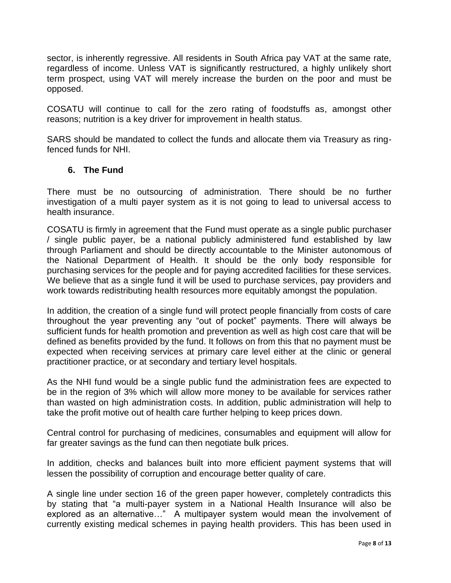sector, is inherently regressive. All residents in South Africa pay VAT at the same rate, regardless of income. Unless VAT is significantly restructured, a highly unlikely short term prospect, using VAT will merely increase the burden on the poor and must be opposed.

COSATU will continue to call for the zero rating of foodstuffs as, amongst other reasons; nutrition is a key driver for improvement in health status.

SARS should be mandated to collect the funds and allocate them via Treasury as ringfenced funds for NHI.

## **6. The Fund**

There must be no outsourcing of administration. There should be no further investigation of a multi payer system as it is not going to lead to universal access to health insurance.

COSATU is firmly in agreement that the Fund must operate as a single public purchaser / single public payer, be a national publicly administered fund established by law through Parliament and should be directly accountable to the Minister autonomous of the National Department of Health. It should be the only body responsible for purchasing services for the people and for paying accredited facilities for these services. We believe that as a single fund it will be used to purchase services, pay providers and work towards redistributing health resources more equitably amongst the population.

In addition, the creation of a single fund will protect people financially from costs of care throughout the year preventing any "out of pocket" payments. There will always be sufficient funds for health promotion and prevention as well as high cost care that will be defined as benefits provided by the fund. It follows on from this that no payment must be expected when receiving services at primary care level either at the clinic or general practitioner practice, or at secondary and tertiary level hospitals.

As the NHI fund would be a single public fund the administration fees are expected to be in the region of 3% which will allow more money to be available for services rather than wasted on high administration costs. In addition, public administration will help to take the profit motive out of health care further helping to keep prices down.

Central control for purchasing of medicines, consumables and equipment will allow for far greater savings as the fund can then negotiate bulk prices.

In addition, checks and balances built into more efficient payment systems that will lessen the possibility of corruption and encourage better quality of care.

A single line under section 16 of the green paper however, completely contradicts this by stating that "a multi-payer system in a National Health Insurance will also be explored as an alternative…" A multipayer system would mean the involvement of currently existing medical schemes in paying health providers. This has been used in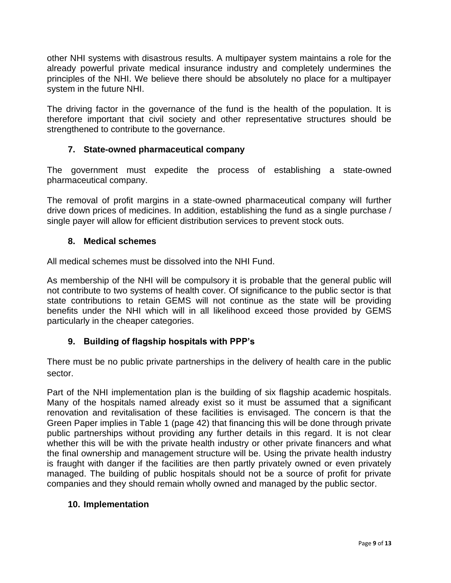other NHI systems with disastrous results. A multipayer system maintains a role for the already powerful private medical insurance industry and completely undermines the principles of the NHI. We believe there should be absolutely no place for a multipayer system in the future NHI.

The driving factor in the governance of the fund is the health of the population. It is therefore important that civil society and other representative structures should be strengthened to contribute to the governance.

## **7. State-owned pharmaceutical company**

The government must expedite the process of establishing a state-owned pharmaceutical company.

The removal of profit margins in a state-owned pharmaceutical company will further drive down prices of medicines. In addition, establishing the fund as a single purchase / single payer will allow for efficient distribution services to prevent stock outs.

#### **8. Medical schemes**

All medical schemes must be dissolved into the NHI Fund.

As membership of the NHI will be compulsory it is probable that the general public will not contribute to two systems of health cover. Of significance to the public sector is that state contributions to retain GEMS will not continue as the state will be providing benefits under the NHI which will in all likelihood exceed those provided by GEMS particularly in the cheaper categories.

#### **9. Building of flagship hospitals with PPP's**

There must be no public private partnerships in the delivery of health care in the public sector.

Part of the NHI implementation plan is the building of six flagship academic hospitals. Many of the hospitals named already exist so it must be assumed that a significant renovation and revitalisation of these facilities is envisaged. The concern is that the Green Paper implies in Table 1 (page 42) that financing this will be done through private public partnerships without providing any further details in this regard. It is not clear whether this will be with the private health industry or other private financers and what the final ownership and management structure will be. Using the private health industry is fraught with danger if the facilities are then partly privately owned or even privately managed. The building of public hospitals should not be a source of profit for private companies and they should remain wholly owned and managed by the public sector.

#### **10. Implementation**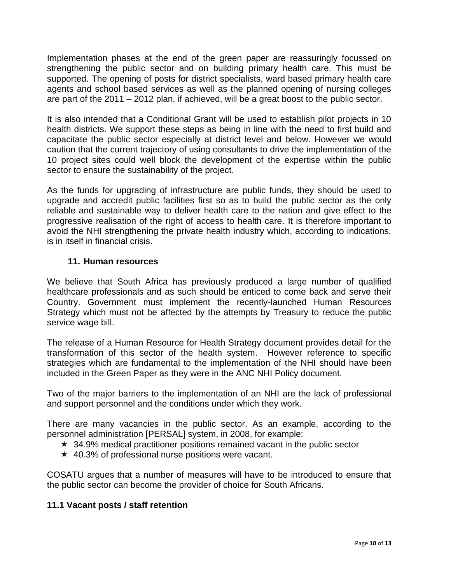Implementation phases at the end of the green paper are reassuringly focussed on strengthening the public sector and on building primary health care. This must be supported. The opening of posts for district specialists, ward based primary health care agents and school based services as well as the planned opening of nursing colleges are part of the 2011 – 2012 plan, if achieved, will be a great boost to the public sector.

It is also intended that a Conditional Grant will be used to establish pilot projects in 10 health districts. We support these steps as being in line with the need to first build and capacitate the public sector especially at district level and below. However we would caution that the current trajectory of using consultants to drive the implementation of the 10 project sites could well block the development of the expertise within the public sector to ensure the sustainability of the project.

As the funds for upgrading of infrastructure are public funds, they should be used to upgrade and accredit public facilities first so as to build the public sector as the only reliable and sustainable way to deliver health care to the nation and give effect to the progressive realisation of the right of access to health care. It is therefore important to avoid the NHI strengthening the private health industry which, according to indications, is in itself in financial crisis.

#### **11. Human resources**

We believe that South Africa has previously produced a large number of qualified healthcare professionals and as such should be enticed to come back and serve their Country. Government must implement the recently-launched Human Resources Strategy which must not be affected by the attempts by Treasury to reduce the public service wage bill.

The release of a Human Resource for Health Strategy document provides detail for the transformation of this sector of the health system. However reference to specific strategies which are fundamental to the implementation of the NHI should have been included in the Green Paper as they were in the ANC NHI Policy document.

Two of the major barriers to the implementation of an NHI are the lack of professional and support personnel and the conditions under which they work.

There are many vacancies in the public sector. As an example, according to the personnel administration [PERSAL] system, in 2008, for example:

- $\star$  34.9% medical practitioner positions remained vacant in the public sector
- $\star$  40.3% of professional nurse positions were vacant.

COSATU argues that a number of measures will have to be introduced to ensure that the public sector can become the provider of choice for South Africans.

# **11.1 Vacant posts / staff retention**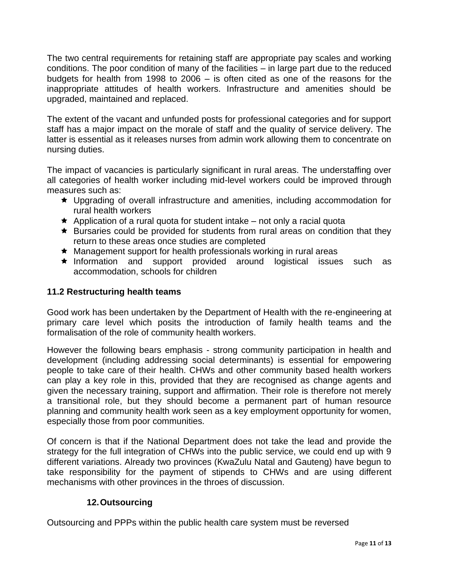The two central requirements for retaining staff are appropriate pay scales and working conditions. The poor condition of many of the facilities – in large part due to the reduced budgets for health from 1998 to 2006 – is often cited as one of the reasons for the inappropriate attitudes of health workers. Infrastructure and amenities should be upgraded, maintained and replaced.

The extent of the vacant and unfunded posts for professional categories and for support staff has a major impact on the morale of staff and the quality of service delivery. The latter is essential as it releases nurses from admin work allowing them to concentrate on nursing duties.

The impact of vacancies is particularly significant in rural areas. The understaffing over all categories of health worker including mid-level workers could be improved through measures such as:

- Upgrading of overall infrastructure and amenities, including accommodation for rural health workers
- $\star$  Application of a rural quota for student intake not only a racial quota
- $\star$  Bursaries could be provided for students from rural areas on condition that they return to these areas once studies are completed
- ★ Management support for health professionals working in rural areas
- Information and support provided around logistical issues such as accommodation, schools for children

# **11.2 Restructuring health teams**

Good work has been undertaken by the Department of Health with the re-engineering at primary care level which posits the introduction of family health teams and the formalisation of the role of community health workers.

However the following bears emphasis - strong community participation in health and development (including addressing social determinants) is essential for empowering people to take care of their health. CHWs and other community based health workers can play a key role in this, provided that they are recognised as change agents and given the necessary training, support and affirmation. Their role is therefore not merely a transitional role, but they should become a permanent part of human resource planning and community health work seen as a key employment opportunity for women, especially those from poor communities.

Of concern is that if the National Department does not take the lead and provide the strategy for the full integration of CHWs into the public service, we could end up with 9 different variations. Already two provinces (KwaZulu Natal and Gauteng) have begun to take responsibility for the payment of stipends to CHWs and are using different mechanisms with other provinces in the throes of discussion.

# **12.Outsourcing**

Outsourcing and PPPs within the public health care system must be reversed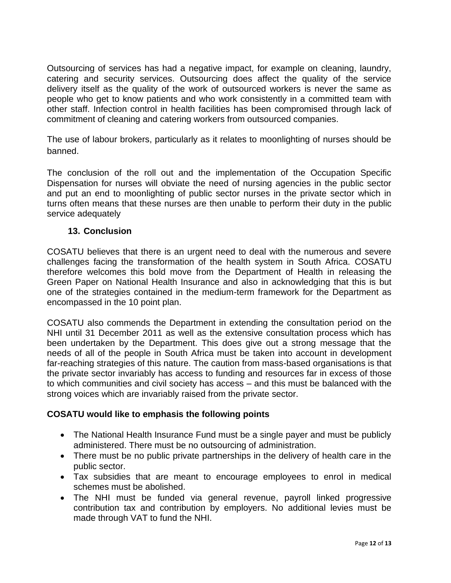Outsourcing of services has had a negative impact, for example on cleaning, laundry, catering and security services. Outsourcing does affect the quality of the service delivery itself as the quality of the work of outsourced workers is never the same as people who get to know patients and who work consistently in a committed team with other staff. Infection control in health facilities has been compromised through lack of commitment of cleaning and catering workers from outsourced companies.

The use of labour brokers, particularly as it relates to moonlighting of nurses should be banned.

The conclusion of the roll out and the implementation of the Occupation Specific Dispensation for nurses will obviate the need of nursing agencies in the public sector and put an end to moonlighting of public sector nurses in the private sector which in turns often means that these nurses are then unable to perform their duty in the public service adequately

#### **13. Conclusion**

COSATU believes that there is an urgent need to deal with the numerous and severe challenges facing the transformation of the health system in South Africa. COSATU therefore welcomes this bold move from the Department of Health in releasing the Green Paper on National Health Insurance and also in acknowledging that this is but one of the strategies contained in the medium-term framework for the Department as encompassed in the 10 point plan.

COSATU also commends the Department in extending the consultation period on the NHI until 31 December 2011 as well as the extensive consultation process which has been undertaken by the Department. This does give out a strong message that the needs of all of the people in South Africa must be taken into account in development far-reaching strategies of this nature. The caution from mass-based organisations is that the private sector invariably has access to funding and resources far in excess of those to which communities and civil society has access – and this must be balanced with the strong voices which are invariably raised from the private sector.

#### **COSATU would like to emphasis the following points**

- The National Health Insurance Fund must be a single payer and must be publicly administered. There must be no outsourcing of administration.
- There must be no public private partnerships in the delivery of health care in the public sector.
- Tax subsidies that are meant to encourage employees to enrol in medical schemes must be abolished.
- The NHI must be funded via general revenue, payroll linked progressive contribution tax and contribution by employers. No additional levies must be made through VAT to fund the NHI.